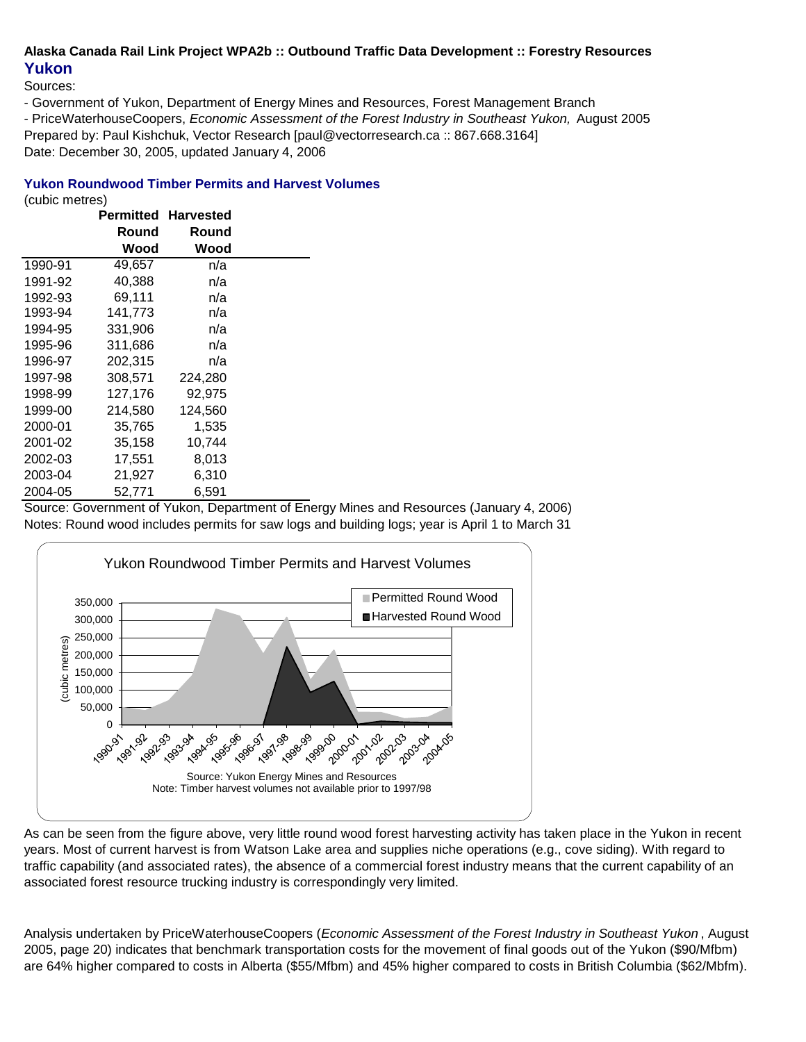# **Alaska Canada Rail Link Project WPA2b :: Outbound Traffic Data Development :: Forestry Resources Yukon**

Sources:

- Government of Yukon, Department of Energy Mines and Resources, Forest Management Branch

- PriceWaterhouseCoopers, *Economic Assessment of the Forest Industry in Southeast Yukon,* August 2005 Prepared by: Paul Kishchuk, Vector Research [paul@vectorresearch.ca :: 867.668.3164] Date: December 30, 2005, updated January 4, 2006

### **Yukon Roundwood Timber Permits and Harvest Volumes**

(cubic metres)

|         |         | <b>Permitted Harvested</b> |  |
|---------|---------|----------------------------|--|
|         | Round   | Round                      |  |
|         | Wood    | Wood                       |  |
| 1990-91 | 49,657  | n/a                        |  |
| 1991-92 | 40,388  | n/a                        |  |
| 1992-93 | 69,111  | n/a                        |  |
| 1993-94 | 141,773 | n/a                        |  |
| 1994-95 | 331,906 | n/a                        |  |
| 1995-96 | 311,686 | n/a                        |  |
| 1996-97 | 202,315 | n/a                        |  |
| 1997-98 | 308,571 | 224,280                    |  |
| 1998-99 | 127,176 | 92,975                     |  |
| 1999-00 | 214,580 | 124,560                    |  |
| 2000-01 | 35,765  | 1,535                      |  |
| 2001-02 | 35,158  | 10,744                     |  |
| 2002-03 | 17,551  | 8,013                      |  |
| 2003-04 | 21,927  | 6,310                      |  |
| 2004-05 | 52,771  | 6,591                      |  |

Source: Government of Yukon, Department of Energy Mines and Resources (January 4, 2006) Notes: Round wood includes permits for saw logs and building logs; year is April 1 to March 31



As can be seen from the figure above, very little round wood forest harvesting activity has taken place in the Yukon in recent years. Most of current harvest is from Watson Lake area and supplies niche operations (e.g., cove siding). With regard to traffic capability (and associated rates), the absence of a commercial forest industry means that the current capability of an associated forest resource trucking industry is correspondingly very limited.

Analysis undertaken by PriceWaterhouseCoopers (*Economic Assessment of the Forest Industry in Southeast Yukon* , August 2005, page 20) indicates that benchmark transportation costs for the movement of final goods out of the Yukon (\$90/Mfbm) are 64% higher compared to costs in Alberta (\$55/Mfbm) and 45% higher compared to costs in British Columbia (\$62/Mbfm).